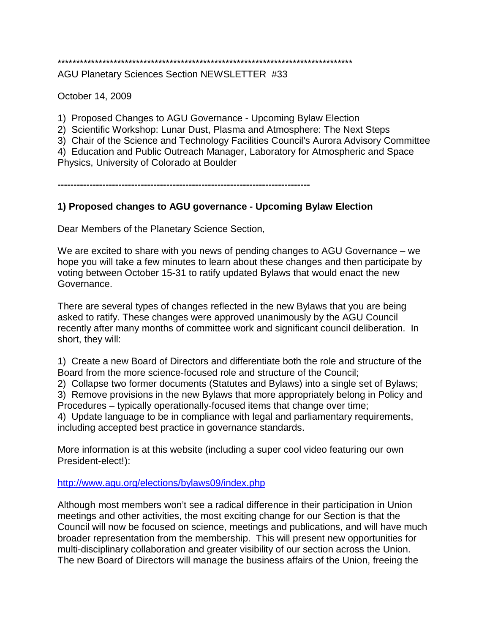# \*\*\*\*\*\*\*\*\*\*\*\*\*\*\*\*\*\*\*\*\*\*\*\*\*\*\*\*\*\*\*\*\*\*\*\*\*\*\*\*\*\*\*\*\*\*\*\*\*\*\*\*\*\*\*\*\*\*\*\*\*\*\*\*\*\*\*\*\*\*\*\*\*\*\*\*\*\*\*

AGU Planetary Sciences Section NEWSLETTER #33

October 14, 2009

1) Proposed Changes to AGU Governance - Upcoming Bylaw Election

2) Scientific Workshop: Lunar Dust, Plasma and Atmosphere: The Next Steps

3) Chair of the Science and Technology Facilities Council's Aurora Advisory Committee

4) Education and Public Outreach Manager, Laboratory for Atmospheric and Space Physics, University of Colorado at Boulder

**-------------------------------------------------------------------------------**

## **1) Proposed changes to AGU governance - Upcoming Bylaw Election**

Dear Members of the Planetary Science Section,

We are excited to share with you news of pending changes to AGU Governance – we hope you will take a few minutes to learn about these changes and then participate by voting between October 15-31 to ratify updated Bylaws that would enact the new Governance.

There are several types of changes reflected in the new Bylaws that you are being asked to ratify. These changes were approved unanimously by the AGU Council recently after many months of committee work and significant council deliberation. In short, they will:

1) Create a new Board of Directors and differentiate both the role and structure of the Board from the more science-focused role and structure of the Council;

2) Collapse two former documents (Statutes and Bylaws) into a single set of Bylaws;

3) Remove provisions in the new Bylaws that more appropriately belong in Policy and Procedures – typically operationally-focused items that change over time;

4) Update language to be in compliance with legal and parliamentary requirements, including accepted best practice in governance standards.

More information is at this website (including a super cool video featuring our own President-elect!):

<http://www.agu.org/elections/bylaws09/index.php>

Although most members won't see a radical difference in their participation in Union meetings and other activities, the most exciting change for our Section is that the Council will now be focused on science, meetings and publications, and will have much broader representation from the membership. This will present new opportunities for multi-disciplinary collaboration and greater visibility of our section across the Union. The new Board of Directors will manage the business affairs of the Union, freeing the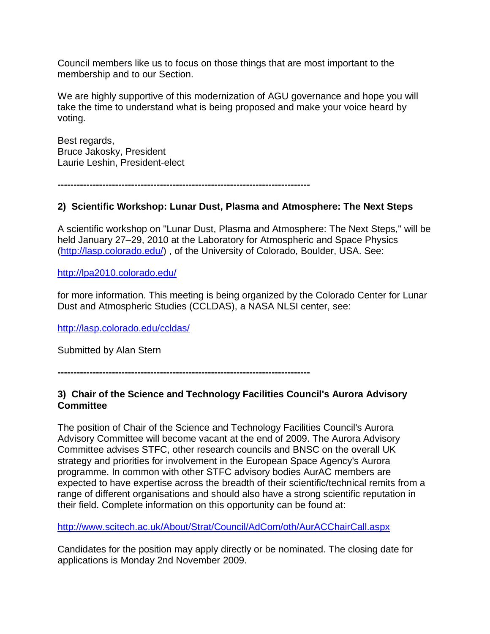Council members like us to focus on those things that are most important to the membership and to our Section.

We are highly supportive of this modernization of AGU governance and hope you will take the time to understand what is being proposed and make your voice heard by voting.

Best regards, Bruce Jakosky, President Laurie Leshin, President-elect

**-------------------------------------------------------------------------------**

### **2) Scientific Workshop: Lunar Dust, Plasma and Atmosphere: The Next Steps**

A scientific workshop on "Lunar Dust, Plasma and Atmosphere: The Next Steps," will be held January 27–29, 2010 at the Laboratory for Atmospheric and Space Physics [\(http://lasp.colorado.edu/\)](http://lasp.colorado.edu/) , of the University of Colorado, Boulder, USA. See:

<http://lpa2010.colorado.edu/>

for more information. This meeting is being organized by the Colorado Center for Lunar Dust and Atmospheric Studies (CCLDAS), a NASA NLSI center, see:

<http://lasp.colorado.edu/ccldas/>

Submitted by Alan Stern

**-------------------------------------------------------------------------------**

### **3) Chair of the Science and Technology Facilities Council's Aurora Advisory Committee**

The position of Chair of the Science and Technology Facilities Council's Aurora Advisory Committee will become vacant at the end of 2009. The Aurora Advisory Committee advises STFC, other research councils and BNSC on the overall UK strategy and priorities for involvement in the European Space Agency's Aurora programme. In common with other STFC advisory bodies AurAC members are expected to have expertise across the breadth of their scientific/technical remits from a range of different organisations and should also have a strong scientific reputation in their field. Complete information on this opportunity can be found at:

http://www.scitech.ac.uk/About/Strat/Council/AdCom/oth/AurACChairCall.aspx

Candidates for the position may apply directly or be nominated. The closing date for applications is Monday 2nd November 2009.